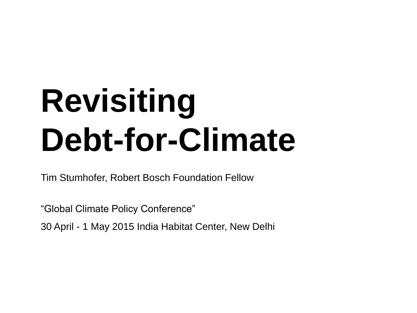### **Revisiting Debt-for-Climate**

Tim Stumhofer, Robert Bosch Foundation Fellow

"Global Climate Policy Conference"

30 April - 1 May 2015 India Habitat Center, New Delhi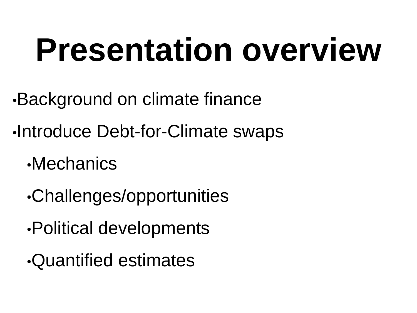#### **Presentation overview**

- •Background on climate finance
- •Introduce Debt-for-Climate swaps
	- •Mechanics
	- •Challenges/opportunities
	- •Political developments
	- •Quantified estimates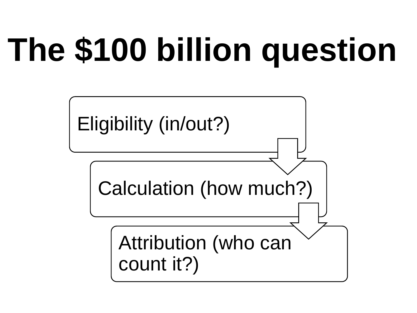## **The \$100 billion question**

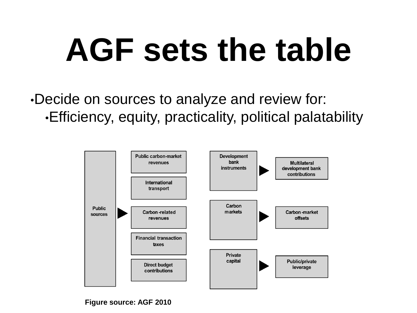#### **AGF sets the table**

•Decide on sources to analyze and review for: •Efficiency, equity, practicality, political palatability

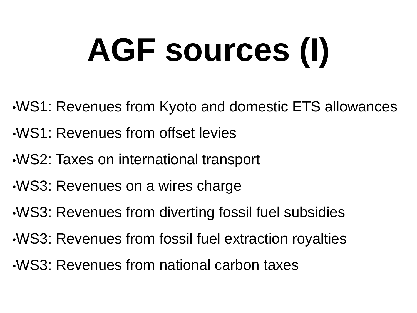# **AGF sources (I)**

- •WS1: Revenues from Kyoto and domestic ETS allowances
- •WS1: Revenues from offset levies
- •WS2: Taxes on international transport
- •WS3: Revenues on a wires charge
- •WS3: Revenues from diverting fossil fuel subsidies
- •WS3: Revenues from fossil fuel extraction royalties
- •WS3: Revenues from national carbon taxes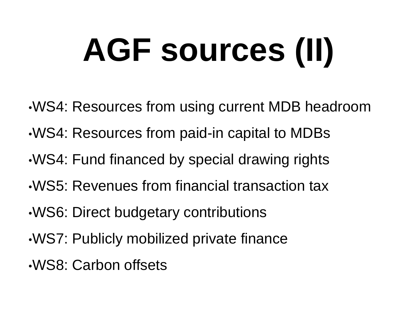# **AGF sources (II)**

- •WS4: Resources from using current MDB headroom
- •WS4: Resources from paid-in capital to MDBs
- •WS4: Fund financed by special drawing rights
- •WS5: Revenues from financial transaction tax
- •WS6: Direct budgetary contributions
- •WS7: Publicly mobilized private finance
- •WS8: Carbon offsets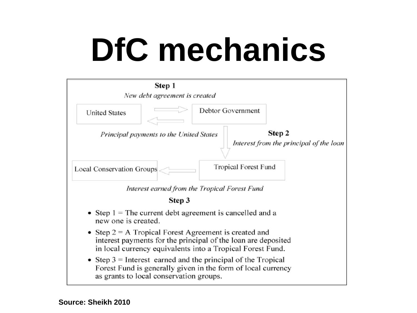### **DfC mechanics**

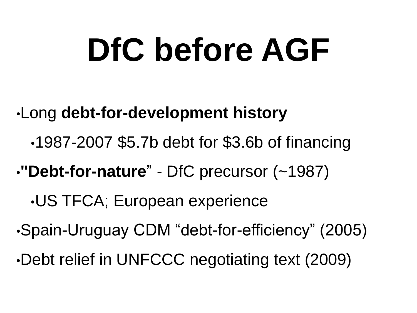#### **DfC before AGF**

- •Long **debt-for-development history** 
	- •1987-2007 \$5.7b debt for \$3.6b of financing
- •**"Debt-for-nature**" DfC precursor (~1987)
	- •US TFCA; European experience
- •Spain-Uruguay CDM "debt-for-efficiency" (2005)
- •Debt relief in UNFCCC negotiating text (2009)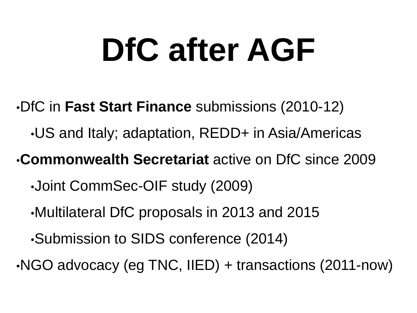### **DfC after AGF**

- •DfC in **Fast Start Finance** submissions (2010-12)
	- •US and Italy; adaptation, REDD+ in Asia/Americas

•**Commonwealth Secretariat** active on DfC since 2009

- •Joint CommSec-OIF study (2009)
- •Multilateral DfC proposals in 2013 and 2015
- •Submission to SIDS conference (2014)
- •NGO advocacy (eg TNC, IIED) + transactions (2011-now)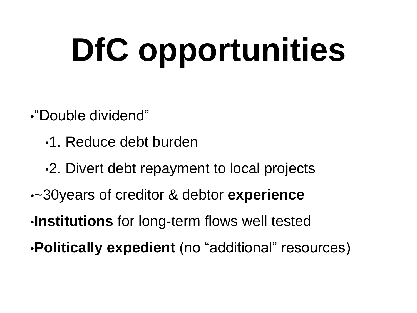# **DfC opportunities**

•"Double dividend"

- •1. Reduce debt burden
- •2. Divert debt repayment to local projects
- •~30years of creditor & debtor **experience**
- •**Institutions** for long-term flows well tested
- •**Politically expedient** (no "additional" resources)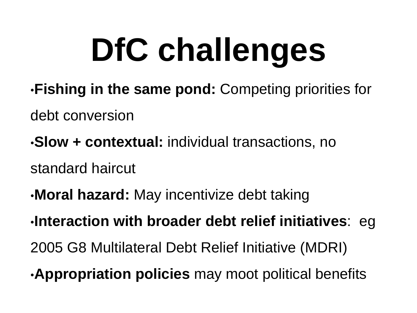## **DfC challenges**

- •**Fishing in the same pond:** Competing priorities for
- debt conversion
- •**Slow + contextual:** individual transactions, no
- standard haircut
- •**Moral hazard:** May incentivize debt taking
- •**Interaction with broader debt relief initiatives**: eg
- 2005 G8 Multilateral Debt Relief Initiative (MDRI)
- •**Appropriation policies** may moot political benefits